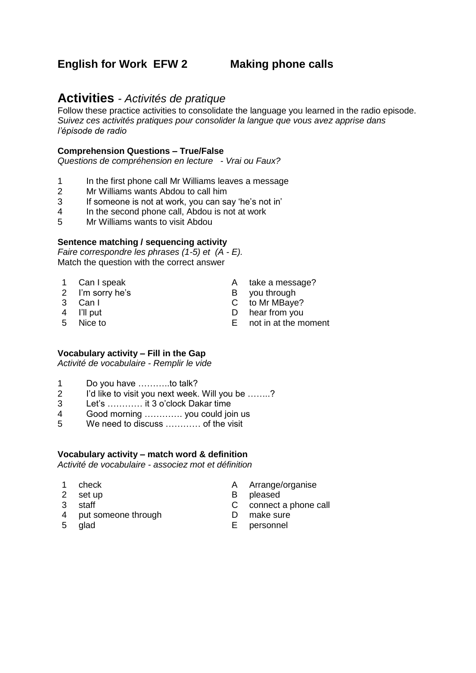# **English for Work EFW 2 Making phone calls**

# **Activities** *- Activités de pratique*

Follow these practice activities to consolidate the language you learned in the radio episode. *Suivez ces activités pratiques pour consolider la langue que vous avez apprise dans l'épisode de radio*

### **Comprehension Questions – True/False**

*Questions de compréhension en lecture - Vrai ou Faux?*

- 1 In the first phone call Mr Williams leaves a message
- 2 Mr Williams wants Abdou to call him
- 3 If someone is not at work, you can say 'he's not in'
- 4 In the second phone call, Abdou is not at work
- 5 Mr Williams wants to visit Abdou

#### **Sentence matching / sequencing activity**

*Faire correspondre les phrases (1-5) et (A - E).* Match the question with the correct answer

- 
- 
- 2 I'm sorry he's B you through<br>3 Can I C to Mr MBave
- 
- 
- 
- 1 Can I speak A take a message?
	-
	- C to Mr MBaye?
- 4 I'll put D hear from you
- 5 Nice to E not in at the moment

### **Vocabulary activity – Fill in the Gap**

*Activité de vocabulaire - Remplir le vide*

- 1 Do you have ………..to talk?
- 2 I'd like to visit you next week. Will you be .......?
- 3 Let's ………… it 3 o'clock Dakar time
- 4 Good morning …………. you could join us
- 5 We need to discuss ………… of the visit

### **Vocabulary activity – match word & definition**

*Activité de vocabulaire - associez mot et définition*

- 
- 
- 
- 4 put someone through<br>5 alad
- 
- 1 check A Arrange/organise
- 2 set up B pleased
- 3 staff <br>
2 connect a phone call<br>
4 put someone through <br>
2 D make sure
	-
	- example and the contract of the contract of the contract of the contract of the contract of the contract of th<br>The contract of the contract of the contract of the contract of the contract of the contract of the contract o